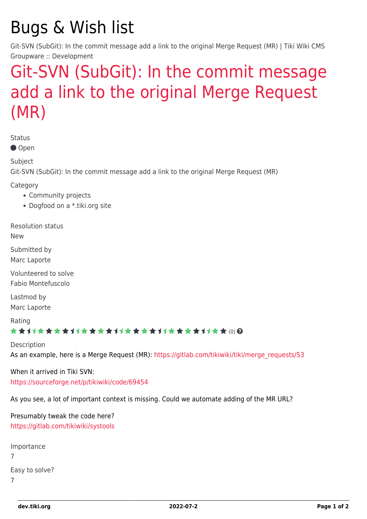# Bugs & Wish list

Git-SVN (SubGit): In the commit message add a link to the original Merge Request (MR) | Tiki Wiki CMS Groupware :: Development

## [Git-SVN \(SubGit\): In the commit message](https://dev.tiki.org/item7044-Git-SVN-SubGit-In-the-commit-message-add-a-link-to-the-original-Merge-Request-MR) [add a link to the original Merge Request](https://dev.tiki.org/item7044-Git-SVN-SubGit-In-the-commit-message-add-a-link-to-the-original-Merge-Request-MR) [\(MR\)](https://dev.tiki.org/item7044-Git-SVN-SubGit-In-the-commit-message-add-a-link-to-the-original-Merge-Request-MR)

Status

● Open

Subject

Git-SVN (SubGit): In the commit message add a link to the original Merge Request (MR)

Category

- Community projects
- Dogfood on a \*.tiki.org site

Resolution status New

Submitted by Marc Laporte

Volunteered to solve Fabio Montefuscolo

Lastmod by Marc Laporte

Rating

#### ★★11★★★★11★★★★11★★★★11★★★★+11★★ (0) @

Description As an example, here is a Merge Request (MR): [https://gitlab.com/tikiwiki/tiki/merge\\_requests/53](https://gitlab.com/tikiwiki/tiki/merge_requests/53)

When it arrived in Tiki SVN: <https://sourceforge.net/p/tikiwiki/code/69454>

As you see, a lot of important context is missing. Could we automate adding of the MR URL?

Presumably tweak the code here? <https://gitlab.com/tikiwiki/systools>

```
Importance
7
Easy to solve?
7
```